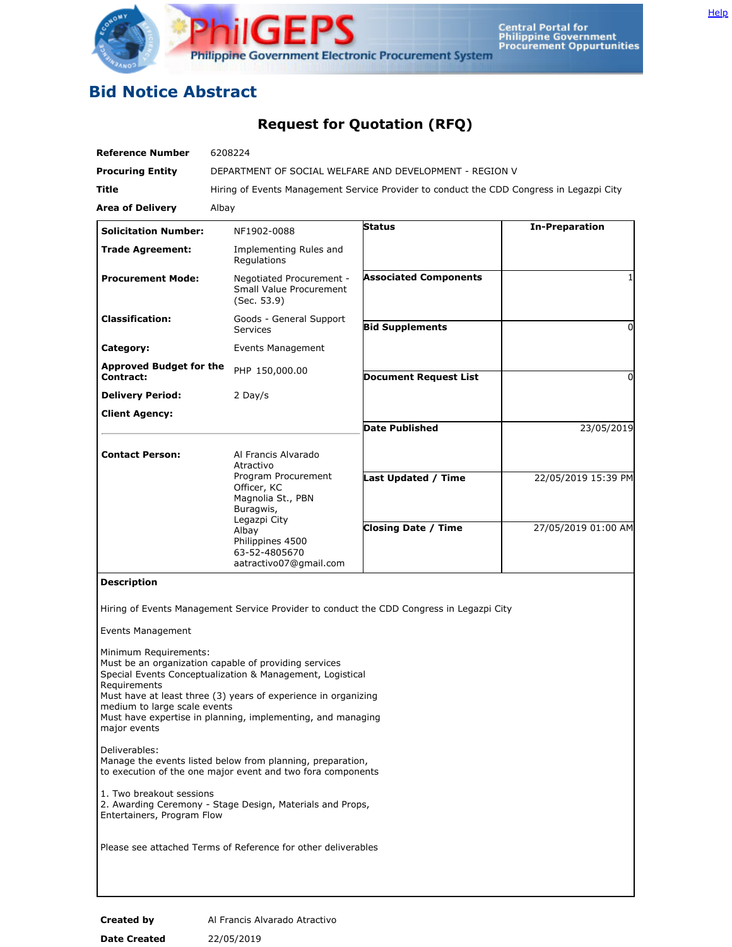

## **Bid Notice Abstract**

## **Request for Quotation (RFQ)**

| <b>Reference Number</b>                                                               | 6208224                                                                                                                                                                                                                                             |                                                                                          |                       |
|---------------------------------------------------------------------------------------|-----------------------------------------------------------------------------------------------------------------------------------------------------------------------------------------------------------------------------------------------------|------------------------------------------------------------------------------------------|-----------------------|
| <b>Procuring Entity</b>                                                               | DEPARTMENT OF SOCIAL WELFARE AND DEVELOPMENT - REGION V                                                                                                                                                                                             |                                                                                          |                       |
| Title                                                                                 | Hiring of Events Management Service Provider to conduct the CDD Congress in Legazpi City                                                                                                                                                            |                                                                                          |                       |
| <b>Area of Delivery</b>                                                               | Albay                                                                                                                                                                                                                                               |                                                                                          |                       |
| <b>Solicitation Number:</b>                                                           | NF1902-0088                                                                                                                                                                                                                                         | <b>Status</b>                                                                            | <b>In-Preparation</b> |
| <b>Trade Agreement:</b>                                                               | Implementing Rules and<br>Regulations                                                                                                                                                                                                               |                                                                                          |                       |
| <b>Procurement Mode:</b>                                                              | Negotiated Procurement -<br><b>Small Value Procurement</b><br>(Sec. 53.9)                                                                                                                                                                           | <b>Associated Components</b>                                                             |                       |
| <b>Classification:</b>                                                                | Goods - General Support<br><b>Services</b>                                                                                                                                                                                                          | <b>Bid Supplements</b>                                                                   | 0                     |
| Category:                                                                             | Events Management                                                                                                                                                                                                                                   |                                                                                          |                       |
| <b>Approved Budget for the</b><br><b>Contract:</b>                                    | PHP 150,000.00                                                                                                                                                                                                                                      | <b>Document Request List</b>                                                             | 0                     |
| <b>Delivery Period:</b>                                                               | 2 Day/s                                                                                                                                                                                                                                             |                                                                                          |                       |
| <b>Client Agency:</b>                                                                 |                                                                                                                                                                                                                                                     |                                                                                          |                       |
|                                                                                       |                                                                                                                                                                                                                                                     | <b>Date Published</b>                                                                    | 23/05/2019            |
| <b>Contact Person:</b>                                                                | Al Francis Alvarado                                                                                                                                                                                                                                 |                                                                                          |                       |
|                                                                                       | Atractivo<br>Program Procurement                                                                                                                                                                                                                    | <b>Last Updated / Time</b>                                                               | 22/05/2019 15:39 PM   |
|                                                                                       | Officer, KC<br>Magnolia St., PBN                                                                                                                                                                                                                    |                                                                                          |                       |
|                                                                                       | Buragwis,                                                                                                                                                                                                                                           |                                                                                          |                       |
|                                                                                       | Legazpi City<br>Albay<br>Philippines 4500<br>63-52-4805670                                                                                                                                                                                          | <b>Closing Date / Time</b>                                                               | 27/05/2019 01:00 AM   |
| <b>Description</b>                                                                    | aatractivo07@gmail.com                                                                                                                                                                                                                              |                                                                                          |                       |
|                                                                                       |                                                                                                                                                                                                                                                     |                                                                                          |                       |
|                                                                                       |                                                                                                                                                                                                                                                     | Hiring of Events Management Service Provider to conduct the CDD Congress in Legazpi City |                       |
| <b>Events Management</b>                                                              |                                                                                                                                                                                                                                                     |                                                                                          |                       |
| Minimum Requirements:<br>Requirements<br>medium to large scale events<br>major events | Must be an organization capable of providing services<br>Special Events Conceptualization & Management, Logistical<br>Must have at least three (3) years of experience in organizing<br>Must have expertise in planning, implementing, and managing |                                                                                          |                       |
| Deliverables:                                                                         | Manage the events listed below from planning, preparation,<br>to execution of the one major event and two fora components                                                                                                                           |                                                                                          |                       |
| 1. Two breakout sessions<br>Entertainers, Program Flow                                | 2. Awarding Ceremony - Stage Design, Materials and Props,                                                                                                                                                                                           |                                                                                          |                       |
| Please see attached Terms of Reference for other deliverables                         |                                                                                                                                                                                                                                                     |                                                                                          |                       |
|                                                                                       |                                                                                                                                                                                                                                                     |                                                                                          |                       |
|                                                                                       |                                                                                                                                                                                                                                                     |                                                                                          |                       |